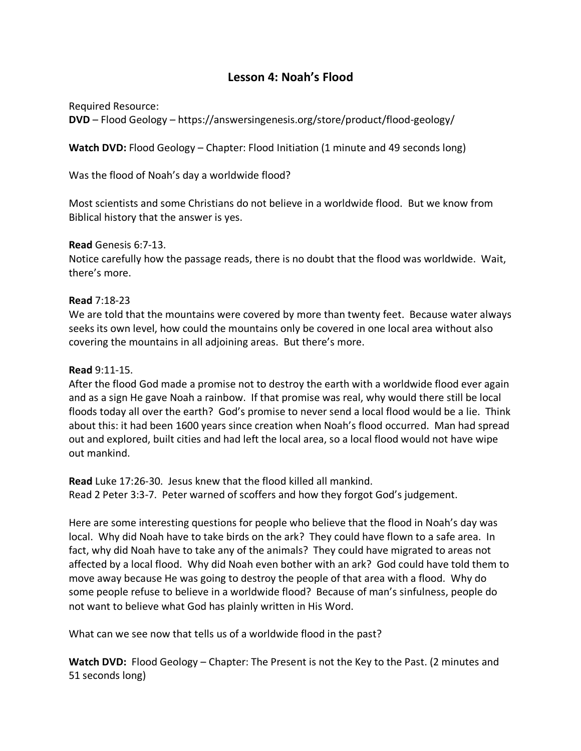# **Lesson 4: Noah's Flood**

Required Resource: **DVD** – Flood Geology – https://answersingenesis.org/store/product/flood-geology/

**Watch DVD:** Flood Geology – Chapter: Flood Initiation (1 minute and 49 seconds long)

Was the flood of Noah's day a worldwide flood?

Most scientists and some Christians do not believe in a worldwide flood. But we know from Biblical history that the answer is yes.

## **Read** Genesis 6:7-13.

Notice carefully how the passage reads, there is no doubt that the flood was worldwide. Wait, there's more.

#### **Read** 7:18-23

We are told that the mountains were covered by more than twenty feet. Because water always seeks its own level, how could the mountains only be covered in one local area without also covering the mountains in all adjoining areas. But there's more.

### **Read** 9:11-15.

After the flood God made a promise not to destroy the earth with a worldwide flood ever again and as a sign He gave Noah a rainbow. If that promise was real, why would there still be local floods today all over the earth? God's promise to never send a local flood would be a lie. Think about this: it had been 1600 years since creation when Noah's flood occurred. Man had spread out and explored, built cities and had left the local area, so a local flood would not have wipe out mankind.

**Read** Luke 17:26-30. Jesus knew that the flood killed all mankind. Read 2 Peter 3:3-7. Peter warned of scoffers and how they forgot God's judgement.

Here are some interesting questions for people who believe that the flood in Noah's day was local. Why did Noah have to take birds on the ark? They could have flown to a safe area. In fact, why did Noah have to take any of the animals? They could have migrated to areas not affected by a local flood. Why did Noah even bother with an ark? God could have told them to move away because He was going to destroy the people of that area with a flood. Why do some people refuse to believe in a worldwide flood? Because of man's sinfulness, people do not want to believe what God has plainly written in His Word.

What can we see now that tells us of a worldwide flood in the past?

Watch DVD: Flood Geology – Chapter: The Present is not the Key to the Past. (2 minutes and 51 seconds long)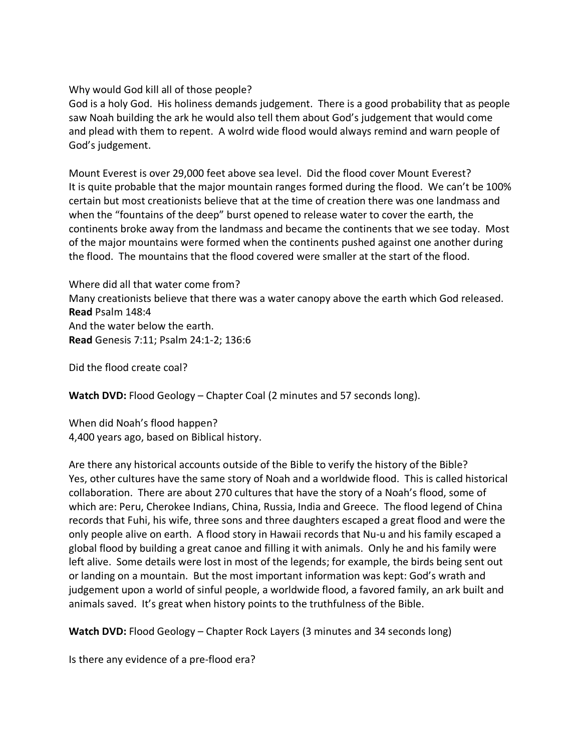Why would God kill all of those people?

God is a holy God. His holiness demands judgement. There is a good probability that as people saw Noah building the ark he would also tell them about God's judgement that would come and plead with them to repent. A wolrd wide flood would always remind and warn people of God's judgement.

Mount Everest is over 29,000 feet above sea level. Did the flood cover Mount Everest? It is quite probable that the major mountain ranges formed during the flood. We can't be 100% certain but most creationists believe that at the time of creation there was one landmass and when the "fountains of the deep" burst opened to release water to cover the earth, the continents broke away from the landmass and became the continents that we see today. Most of the major mountains were formed when the continents pushed against one another during the flood. The mountains that the flood covered were smaller at the start of the flood.

Where did all that water come from? Many creationists believe that there was a water canopy above the earth which God released. **Read** Psalm 148:4 And the water below the earth. **Read** Genesis 7:11; Psalm 24:1-2; 136:6

Did the flood create coal?

**Watch DVD:** Flood Geology – Chapter Coal (2 minutes and 57 seconds long).

When did Noah's flood happen? 4,400 years ago, based on Biblical history.

Are there any historical accounts outside of the Bible to verify the history of the Bible? Yes, other cultures have the same story of Noah and a worldwide flood. This is called historical collaboration. There are about 270 cultures that have the story of a Noah's flood, some of which are: Peru, Cherokee Indians, China, Russia, India and Greece. The flood legend of China records that Fuhi, his wife, three sons and three daughters escaped a great flood and were the only people alive on earth. A flood story in Hawaii records that Nu-u and his family escaped a global flood by building a great canoe and filling it with animals. Only he and his family were left alive. Some details were lost in most of the legends; for example, the birds being sent out or landing on a mountain. But the most important information was kept: God's wrath and judgement upon a world of sinful people, a worldwide flood, a favored family, an ark built and animals saved. It's great when history points to the truthfulness of the Bible.

**Watch DVD:** Flood Geology – Chapter Rock Layers (3 minutes and 34 seconds long)

Is there any evidence of a pre-flood era?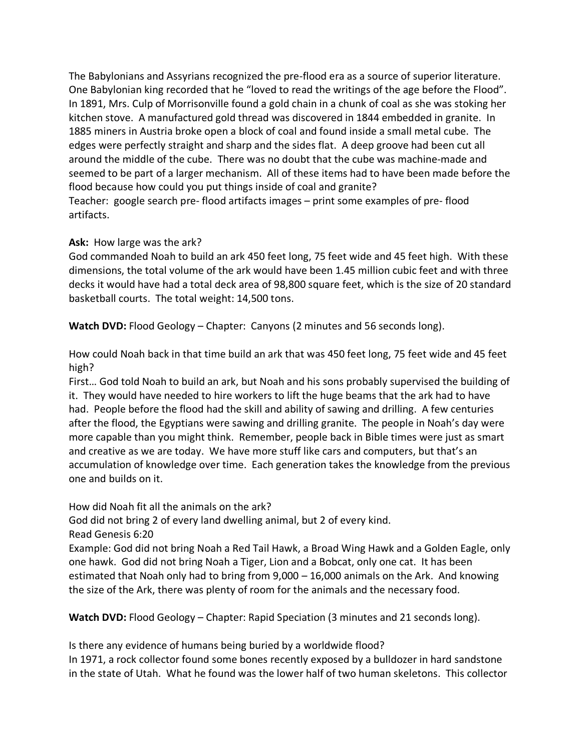The Babylonians and Assyrians recognized the pre-flood era as a source of superior literature. One Babylonian king recorded that he "loved to read the writings of the age before the Flood". In 1891, Mrs. Culp of Morrisonville found a gold chain in a chunk of coal as she was stoking her kitchen stove. A manufactured gold thread was discovered in 1844 embedded in granite. In 1885 miners in Austria broke open a block of coal and found inside a small metal cube. The edges were perfectly straight and sharp and the sides flat. A deep groove had been cut all around the middle of the cube. There was no doubt that the cube was machine-made and seemed to be part of a larger mechanism. All of these items had to have been made before the flood because how could you put things inside of coal and granite? Teacher: google search pre- flood artifacts images – print some examples of pre- flood artifacts.

# **Ask:** How large was the ark?

God commanded Noah to build an ark 450 feet long, 75 feet wide and 45 feet high. With these dimensions, the total volume of the ark would have been 1.45 million cubic feet and with three decks it would have had a total deck area of 98,800 square feet, which is the size of 20 standard basketball courts. The total weight: 14,500 tons.

**Watch DVD:** Flood Geology – Chapter: Canyons (2 minutes and 56 seconds long).

How could Noah back in that time build an ark that was 450 feet long, 75 feet wide and 45 feet high?

First… God told Noah to build an ark, but Noah and his sons probably supervised the building of it. They would have needed to hire workers to lift the huge beams that the ark had to have had. People before the flood had the skill and ability of sawing and drilling. A few centuries after the flood, the Egyptians were sawing and drilling granite. The people in Noah's day were more capable than you might think. Remember, people back in Bible times were just as smart and creative as we are today. We have more stuff like cars and computers, but that's an accumulation of knowledge over time. Each generation takes the knowledge from the previous one and builds on it.

How did Noah fit all the animals on the ark?

God did not bring 2 of every land dwelling animal, but 2 of every kind.

Read Genesis 6:20

Example: God did not bring Noah a Red Tail Hawk, a Broad Wing Hawk and a Golden Eagle, only one hawk. God did not bring Noah a Tiger, Lion and a Bobcat, only one cat. It has been estimated that Noah only had to bring from 9,000 – 16,000 animals on the Ark. And knowing the size of the Ark, there was plenty of room for the animals and the necessary food.

**Watch DVD:** Flood Geology – Chapter: Rapid Speciation (3 minutes and 21 seconds long).

Is there any evidence of humans being buried by a worldwide flood? In 1971, a rock collector found some bones recently exposed by a bulldozer in hard sandstone in the state of Utah. What he found was the lower half of two human skeletons. This collector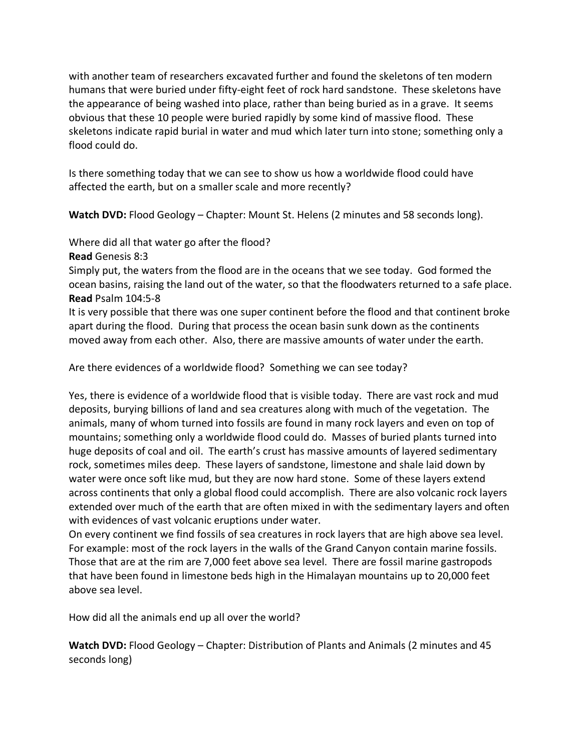with another team of researchers excavated further and found the skeletons of ten modern humans that were buried under fifty-eight feet of rock hard sandstone. These skeletons have the appearance of being washed into place, rather than being buried as in a grave. It seems obvious that these 10 people were buried rapidly by some kind of massive flood. These skeletons indicate rapid burial in water and mud which later turn into stone; something only a flood could do.

Is there something today that we can see to show us how a worldwide flood could have affected the earth, but on a smaller scale and more recently?

**Watch DVD:** Flood Geology – Chapter: Mount St. Helens (2 minutes and 58 seconds long).

Where did all that water go after the flood?

**Read** Genesis 8:3

Simply put, the waters from the flood are in the oceans that we see today. God formed the ocean basins, raising the land out of the water, so that the floodwaters returned to a safe place. **Read** Psalm 104:5-8

It is very possible that there was one super continent before the flood and that continent broke apart during the flood. During that process the ocean basin sunk down as the continents moved away from each other. Also, there are massive amounts of water under the earth.

Are there evidences of a worldwide flood? Something we can see today?

Yes, there is evidence of a worldwide flood that is visible today. There are vast rock and mud deposits, burying billions of land and sea creatures along with much of the vegetation. The animals, many of whom turned into fossils are found in many rock layers and even on top of mountains; something only a worldwide flood could do. Masses of buried plants turned into huge deposits of coal and oil. The earth's crust has massive amounts of layered sedimentary rock, sometimes miles deep. These layers of sandstone, limestone and shale laid down by water were once soft like mud, but they are now hard stone. Some of these layers extend across continents that only a global flood could accomplish. There are also volcanic rock layers extended over much of the earth that are often mixed in with the sedimentary layers and often with evidences of vast volcanic eruptions under water.

On every continent we find fossils of sea creatures in rock layers that are high above sea level. For example: most of the rock layers in the walls of the Grand Canyon contain marine fossils. Those that are at the rim are 7,000 feet above sea level. There are fossil marine gastropods that have been found in limestone beds high in the Himalayan mountains up to 20,000 feet above sea level.

How did all the animals end up all over the world?

**Watch DVD:** Flood Geology – Chapter: Distribution of Plants and Animals (2 minutes and 45 seconds long)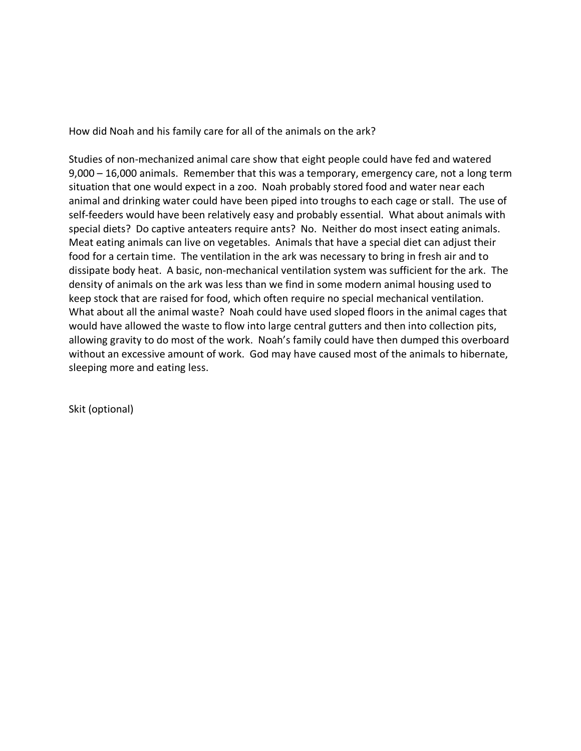How did Noah and his family care for all of the animals on the ark?

Studies of non-mechanized animal care show that eight people could have fed and watered 9,000 – 16,000 animals. Remember that this was a temporary, emergency care, not a long term situation that one would expect in a zoo. Noah probably stored food and water near each animal and drinking water could have been piped into troughs to each cage or stall. The use of self-feeders would have been relatively easy and probably essential. What about animals with special diets? Do captive anteaters require ants? No. Neither do most insect eating animals. Meat eating animals can live on vegetables. Animals that have a special diet can adjust their food for a certain time. The ventilation in the ark was necessary to bring in fresh air and to dissipate body heat. A basic, non-mechanical ventilation system was sufficient for the ark. The density of animals on the ark was less than we find in some modern animal housing used to keep stock that are raised for food, which often require no special mechanical ventilation. What about all the animal waste? Noah could have used sloped floors in the animal cages that would have allowed the waste to flow into large central gutters and then into collection pits, allowing gravity to do most of the work. Noah's family could have then dumped this overboard without an excessive amount of work. God may have caused most of the animals to hibernate, sleeping more and eating less.

Skit (optional)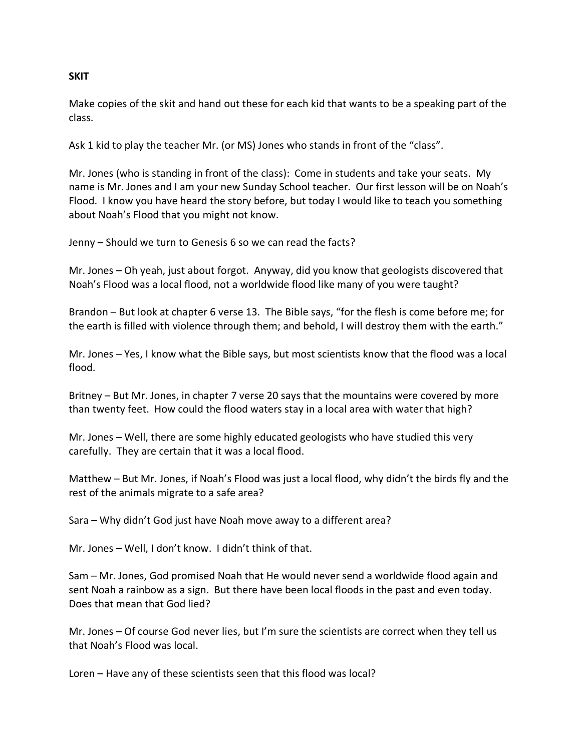## **SKIT**

Make copies of the skit and hand out these for each kid that wants to be a speaking part of the class.

Ask 1 kid to play the teacher Mr. (or MS) Jones who stands in front of the "class".

Mr. Jones (who is standing in front of the class): Come in students and take your seats. My name is Mr. Jones and I am your new Sunday School teacher. Our first lesson will be on Noah's Flood. I know you have heard the story before, but today I would like to teach you something about Noah's Flood that you might not know.

Jenny – Should we turn to Genesis 6 so we can read the facts?

Mr. Jones – Oh yeah, just about forgot. Anyway, did you know that geologists discovered that Noah's Flood was a local flood, not a worldwide flood like many of you were taught?

Brandon – But look at chapter 6 verse 13. The Bible says, "for the flesh is come before me; for the earth is filled with violence through them; and behold, I will destroy them with the earth."

Mr. Jones – Yes, I know what the Bible says, but most scientists know that the flood was a local flood.

Britney – But Mr. Jones, in chapter 7 verse 20 says that the mountains were covered by more than twenty feet. How could the flood waters stay in a local area with water that high?

Mr. Jones – Well, there are some highly educated geologists who have studied this very carefully. They are certain that it was a local flood.

Matthew – But Mr. Jones, if Noah's Flood was just a local flood, why didn't the birds fly and the rest of the animals migrate to a safe area?

Sara – Why didn't God just have Noah move away to a different area?

Mr. Jones – Well, I don't know. I didn't think of that.

Sam – Mr. Jones, God promised Noah that He would never send a worldwide flood again and sent Noah a rainbow as a sign. But there have been local floods in the past and even today. Does that mean that God lied?

Mr. Jones – Of course God never lies, but I'm sure the scientists are correct when they tell us that Noah's Flood was local.

Loren – Have any of these scientists seen that this flood was local?